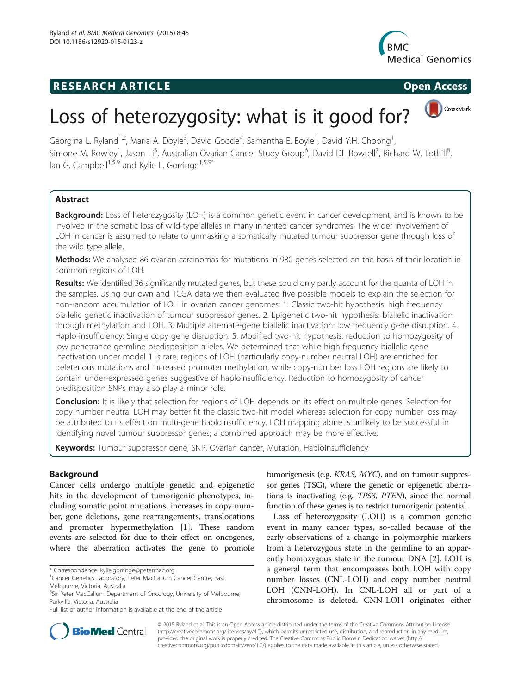# **RESEARCH ARTICLE Example 2014 CONSIDERING CONSIDERING CONSIDERING CONSIDERING CONSIDERING CONSIDERING CONSIDERING CONSIDERING CONSIDERING CONSIDERING CONSIDERING CONSIDERING CONSIDERING CONSIDERING CONSIDERING CONSIDE**





CrossMark

# Loss of heterozygosity: what is it good for?

Georgina L. Ryland<sup>1,2</sup>, Maria A. Doyle<sup>3</sup>, David Goode<sup>4</sup>, Samantha E. Boyle<sup>1</sup>, David Y.H. Choong<sup>1</sup> , Simone M. Rowley<sup>1</sup>, Jason Li<sup>3</sup>, Australian Ovarian Cancer Study Group<sup>6</sup>, David DL Bowtell<sup>7</sup>, Richard W. Tothill<sup>8</sup> , Ian G. Campbell<sup>1,5,9</sup> and Kylie L. Gorringe<sup>1,5,9\*</sup>

# Abstract

Background: Loss of heterozygosity (LOH) is a common genetic event in cancer development, and is known to be involved in the somatic loss of wild-type alleles in many inherited cancer syndromes. The wider involvement of LOH in cancer is assumed to relate to unmasking a somatically mutated tumour suppressor gene through loss of the wild type allele.

Methods: We analysed 86 ovarian carcinomas for mutations in 980 genes selected on the basis of their location in common regions of LOH.

Results: We identified 36 significantly mutated genes, but these could only partly account for the quanta of LOH in the samples. Using our own and TCGA data we then evaluated five possible models to explain the selection for non-random accumulation of LOH in ovarian cancer genomes: 1. Classic two-hit hypothesis: high frequency biallelic genetic inactivation of tumour suppressor genes. 2. Epigenetic two-hit hypothesis: biallelic inactivation through methylation and LOH. 3. Multiple alternate-gene biallelic inactivation: low frequency gene disruption. 4. Haplo-insufficiency: Single copy gene disruption. 5. Modified two-hit hypothesis: reduction to homozygosity of low penetrance germline predisposition alleles. We determined that while high-frequency biallelic gene inactivation under model 1 is rare, regions of LOH (particularly copy-number neutral LOH) are enriched for deleterious mutations and increased promoter methylation, while copy-number loss LOH regions are likely to contain under-expressed genes suggestive of haploinsufficiency. Reduction to homozygosity of cancer predisposition SNPs may also play a minor role.

Conclusion: It is likely that selection for regions of LOH depends on its effect on multiple genes. Selection for copy number neutral LOH may better fit the classic two-hit model whereas selection for copy number loss may be attributed to its effect on multi-gene haploinsufficiency. LOH mapping alone is unlikely to be successful in identifying novel tumour suppressor genes; a combined approach may be more effective.

Keywords: Tumour suppressor gene, SNP, Ovarian cancer, Mutation, Haploinsufficiency

# **Background**

Cancer cells undergo multiple genetic and epigenetic hits in the development of tumorigenic phenotypes, including somatic point mutations, increases in copy number, gene deletions, gene rearrangements, translocations and promoter hypermethylation [[1](#page-10-0)]. These random events are selected for due to their effect on oncogenes, where the aberration activates the gene to promote

tumorigenesis (e.g. KRAS, MYC), and on tumour suppressor genes (TSG), where the genetic or epigenetic aberrations is inactivating (e.g. TP53, PTEN), since the normal function of these genes is to restrict tumorigenic potential.

Loss of heterozygosity (LOH) is a common genetic event in many cancer types, so-called because of the early observations of a change in polymorphic markers from a heterozygous state in the germline to an apparently homozygous state in the tumour DNA [[2\]](#page-10-0). LOH is a general term that encompasses both LOH with copy number losses (CNL-LOH) and copy number neutral LOH (CNN-LOH). In CNL-LOH all or part of a chromosome is deleted. CNN-LOH originates either



© 2015 Ryland et al. This is an Open Access article distributed under the terms of the Creative Commons Attribution License [\(http://creativecommons.org/licenses/by/4.0\)](http://creativecommons.org/licenses/by/4.0), which permits unrestricted use, distribution, and reproduction in any medium, provided the original work is properly credited. The Creative Commons Public Domain Dedication waiver [\(http://](http://creativecommons.org/publicdomain/zero/1.0/) [creativecommons.org/publicdomain/zero/1.0/\)](http://creativecommons.org/publicdomain/zero/1.0/) applies to the data made available in this article, unless otherwise stated.

<sup>\*</sup> Correspondence: [kylie.gorringe@petermac.org](mailto:kylie.gorringe@petermac.org) <sup>1</sup>

<sup>&</sup>lt;sup>1</sup> Cancer Genetics Laboratory, Peter MacCallum Cancer Centre, East Melbourne, Victoria, Australia

<sup>5</sup> Sir Peter MacCallum Department of Oncology, University of Melbourne, Parkville, Victoria, Australia

Full list of author information is available at the end of the article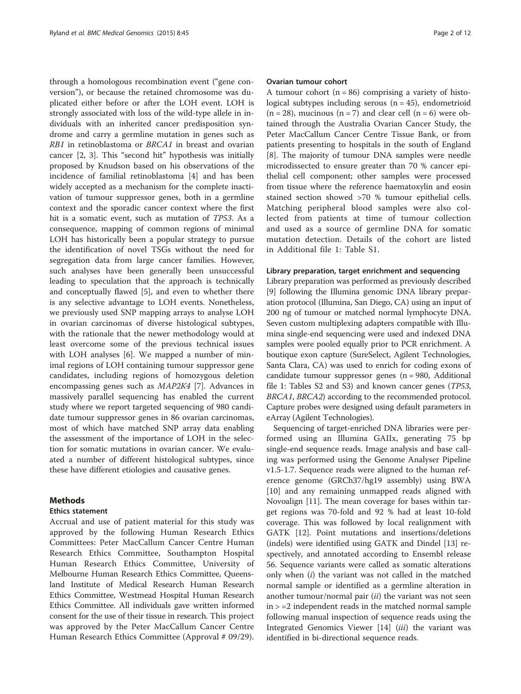through a homologous recombination event ("gene conversion"), or because the retained chromosome was duplicated either before or after the LOH event. LOH is strongly associated with loss of the wild-type allele in individuals with an inherited cancer predisposition syndrome and carry a germline mutation in genes such as RB1 in retinoblastoma or BRCA1 in breast and ovarian cancer [[2, 3\]](#page-10-0). This "second hit" hypothesis was initially proposed by Knudson based on his observations of the incidence of familial retinoblastoma [[4\]](#page-10-0) and has been widely accepted as a mechanism for the complete inactivation of tumour suppressor genes, both in a germline context and the sporadic cancer context where the first hit is a somatic event, such as mutation of TP53. As a consequence, mapping of common regions of minimal LOH has historically been a popular strategy to pursue the identification of novel TSGs without the need for segregation data from large cancer families. However, such analyses have been generally been unsuccessful leading to speculation that the approach is technically and conceptually flawed [\[5](#page-10-0)], and even to whether there is any selective advantage to LOH events. Nonetheless, we previously used SNP mapping arrays to analyse LOH in ovarian carcinomas of diverse histological subtypes, with the rationale that the newer methodology would at least overcome some of the previous technical issues with LOH analyses [\[6](#page-10-0)]. We mapped a number of minimal regions of LOH containing tumour suppressor gene candidates, including regions of homozygous deletion encompassing genes such as MAP2K4 [\[7](#page-10-0)]. Advances in massively parallel sequencing has enabled the current study where we report targeted sequencing of 980 candidate tumour suppressor genes in 86 ovarian carcinomas, most of which have matched SNP array data enabling the assessment of the importance of LOH in the selection for somatic mutations in ovarian cancer. We evaluated a number of different histological subtypes, since these have different etiologies and causative genes.

# **Methods**

#### Ethics statement

Accrual and use of patient material for this study was approved by the following Human Research Ethics Committees: Peter MacCallum Cancer Centre Human Research Ethics Committee, Southampton Hospital Human Research Ethics Committee, University of Melbourne Human Research Ethics Committee, Queensland Institute of Medical Research Human Research Ethics Committee, Westmead Hospital Human Research Ethics Committee. All individuals gave written informed consent for the use of their tissue in research. This project was approved by the Peter MacCallum Cancer Centre Human Research Ethics Committee (Approval # 09/29).

#### Ovarian tumour cohort

A tumour cohort  $(n = 86)$  comprising a variety of histological subtypes including serous  $(n = 45)$ , endometrioid  $(n = 28)$ , mucinous  $(n = 7)$  and clear cell  $(n = 6)$  were obtained through the Australia Ovarian Cancer Study, the Peter MacCallum Cancer Centre Tissue Bank, or from patients presenting to hospitals in the south of England [[8\]](#page-10-0). The majority of tumour DNA samples were needle microdissected to ensure greater than 70 % cancer epithelial cell component; other samples were processed from tissue where the reference haematoxylin and eosin stained section showed >70 % tumour epithelial cells. Matching peripheral blood samples were also collected from patients at time of tumour collection and used as a source of germline DNA for somatic mutation detection. Details of the cohort are listed in Additional file [1](#page-10-0): Table S1.

#### Library preparation, target enrichment and sequencing

Library preparation was performed as previously described [[9\]](#page-10-0) following the Illumina genomic DNA library preparation protocol (Illumina, San Diego, CA) using an input of 200 ng of tumour or matched normal lymphocyte DNA. Seven custom multiplexing adapters compatible with Illumina single-end sequencing were used and indexed DNA samples were pooled equally prior to PCR enrichment. A boutique exon capture (SureSelect, Agilent Technologies, Santa Clara, CA) was used to enrich for coding exons of candidate tumour suppressor genes  $(n = 980,$  Additional file [1](#page-10-0): Tables S2 and S3) and known cancer genes (TP53, BRCA1, BRCA2) according to the recommended protocol. Capture probes were designed using default parameters in eArray (Agilent Technologies).

Sequencing of target-enriched DNA libraries were performed using an Illumina GAIIx, generating 75 bp single-end sequence reads. Image analysis and base calling was performed using the Genome Analyser Pipeline v1.5-1.7. Sequence reads were aligned to the human reference genome (GRCh37/hg19 assembly) using BWA [[10\]](#page-10-0) and any remaining unmapped reads aligned with Novoalign [[11\]](#page-10-0). The mean coverage for bases within target regions was 70-fold and 92 % had at least 10-fold coverage. This was followed by local realignment with GATK [[12\]](#page-10-0). Point mutations and insertions/deletions (indels) were identified using GATK and Dindel [[13](#page-10-0)] respectively, and annotated according to Ensembl release 56. Sequence variants were called as somatic alterations only when  $(i)$  the variant was not called in the matched normal sample or identified as a germline alteration in another tumour/normal pair  $(ii)$  the variant was not seen  $in$   $>$  =2 independent reads in the matched normal sample following manual inspection of sequence reads using the Integrated Genomics Viewer [\[14](#page-10-0)] (iii) the variant was identified in bi-directional sequence reads.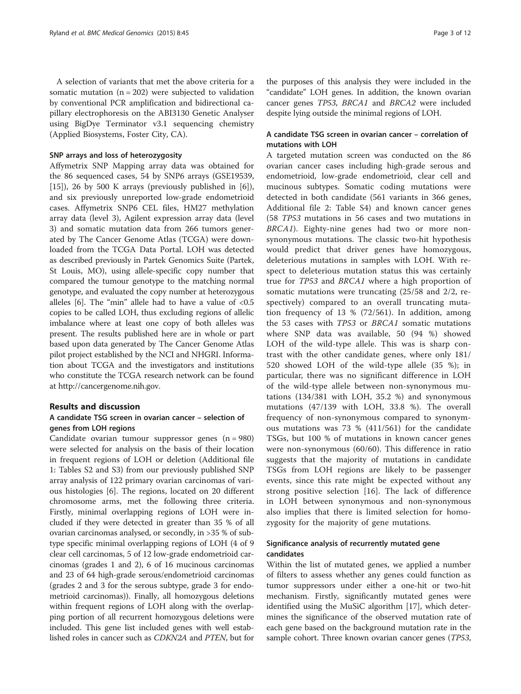A selection of variants that met the above criteria for a somatic mutation  $(n = 202)$  were subjected to validation by conventional PCR amplification and bidirectional capillary electrophoresis on the ABI3130 Genetic Analyser using BigDye Terminator v3.1 sequencing chemistry (Applied Biosystems, Foster City, CA).

## SNP arrays and loss of heterozygosity

Affymetrix SNP Mapping array data was obtained for the 86 sequenced cases, 54 by SNP6 arrays (GSE19539, [[15\]](#page-10-0)), 26 by 500 K arrays (previously published in  $[6]$  $[6]$ ), and six previously unreported low-grade endometrioid cases. Affymetrix SNP6 CEL files, HM27 methylation array data (level 3), Agilent expression array data (level 3) and somatic mutation data from 266 tumors generated by The Cancer Genome Atlas (TCGA) were downloaded from the TCGA Data Portal. LOH was detected as described previously in Partek Genomics Suite (Partek, St Louis, MO), using allele-specific copy number that compared the tumour genotype to the matching normal genotype, and evaluated the copy number at heterozygous alleles [\[6\]](#page-10-0). The "min" allele had to have a value of  $< 0.5$ copies to be called LOH, thus excluding regions of allelic imbalance where at least one copy of both alleles was present. The results published here are in whole or part based upon data generated by The Cancer Genome Atlas pilot project established by the NCI and NHGRI. Information about TCGA and the investigators and institutions who constitute the TCGA research network can be found at<http://cancergenome.nih.gov>.

# Results and discussion

# A candidate TSG screen in ovarian cancer – selection of genes from LOH regions

Candidate ovarian tumour suppressor genes  $(n = 980)$ were selected for analysis on the basis of their location in frequent regions of LOH or deletion (Additional file [1:](#page-10-0) Tables S2 and S3) from our previously published SNP array analysis of 122 primary ovarian carcinomas of various histologies [[6\]](#page-10-0). The regions, located on 20 different chromosome arms, met the following three criteria. Firstly, minimal overlapping regions of LOH were included if they were detected in greater than 35 % of all ovarian carcinomas analysed, or secondly, in >35 % of subtype specific minimal overlapping regions of LOH (4 of 9 clear cell carcinomas, 5 of 12 low-grade endometrioid carcinomas (grades 1 and 2), 6 of 16 mucinous carcinomas and 23 of 64 high-grade serous/endometrioid carcinomas (grades 2 and 3 for the serous subtype, grade 3 for endometrioid carcinomas)). Finally, all homozygous deletions within frequent regions of LOH along with the overlapping portion of all recurrent homozygous deletions were included. This gene list included genes with well established roles in cancer such as CDKN2A and PTEN, but for the purposes of this analysis they were included in the "candidate" LOH genes. In addition, the known ovarian cancer genes TP53, BRCA1 and BRCA2 were included despite lying outside the minimal regions of LOH.

# A candidate TSG screen in ovarian cancer – correlation of mutations with LOH

A targeted mutation screen was conducted on the 86 ovarian cancer cases including high-grade serous and endometrioid, low-grade endometrioid, clear cell and mucinous subtypes. Somatic coding mutations were detected in both candidate (561 variants in 366 genes, Additional file [2:](#page-10-0) Table S4) and known cancer genes (58 TP53 mutations in 56 cases and two mutations in BRCA1). Eighty-nine genes had two or more nonsynonymous mutations. The classic two-hit hypothesis would predict that driver genes have homozygous, deleterious mutations in samples with LOH. With respect to deleterious mutation status this was certainly true for TP53 and BRCA1 where a high proportion of somatic mutations were truncating (25/58 and 2/2, respectively) compared to an overall truncating mutation frequency of 13 % (72/561). In addition, among the 53 cases with TP53 or BRCA1 somatic mutations where SNP data was available, 50 (94 %) showed LOH of the wild-type allele. This was is sharp contrast with the other candidate genes, where only 181/ 520 showed LOH of the wild-type allele (35 %); in particular, there was no significant difference in LOH of the wild-type allele between non-synonymous mutations (134/381 with LOH, 35.2 %) and synonymous mutations (47/139 with LOH, 33.8 %). The overall frequency of non-synonymous compared to synonymous mutations was 73 % (411/561) for the candidate TSGs, but 100 % of mutations in known cancer genes were non-synonymous (60/60). This difference in ratio suggests that the majority of mutations in candidate TSGs from LOH regions are likely to be passenger events, since this rate might be expected without any strong positive selection [\[16](#page-10-0)]. The lack of difference in LOH between synonymous and non-synonymous also implies that there is limited selection for homozygosity for the majority of gene mutations.

# Significance analysis of recurrently mutated gene candidates

Within the list of mutated genes, we applied a number of filters to assess whether any genes could function as tumor suppressors under either a one-hit or two-hit mechanism. Firstly, significantly mutated genes were identified using the MuSiC algorithm [\[17](#page-11-0)], which determines the significance of the observed mutation rate of each gene based on the background mutation rate in the sample cohort. Three known ovarian cancer genes (TP53,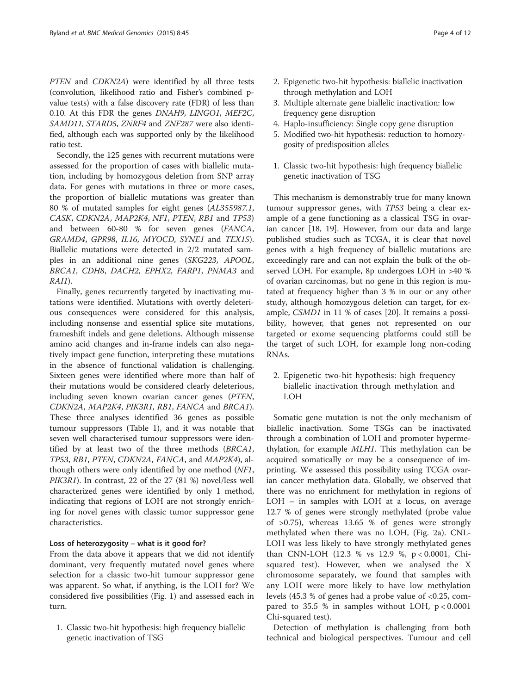PTEN and CDKN2A) were identified by all three tests (convolution, likelihood ratio and Fisher's combined pvalue tests) with a false discovery rate (FDR) of less than 0.10. At this FDR the genes DNAH9, LINGO1, MEF2C, SAMD11, STARD5, ZNRF4 and ZNF287 were also identified, although each was supported only by the likelihood ratio test.

Secondly, the 125 genes with recurrent mutations were assessed for the proportion of cases with biallelic mutation, including by homozygous deletion from SNP array data. For genes with mutations in three or more cases, the proportion of biallelic mutations was greater than 80 % of mutated samples for eight genes (AL355987.1, CASK, CDKN2A, MAP2K4, NF1, PTEN, RB1 and TP53) and between 60-80 % for seven genes (FANCA, GRAMD4, GPR98, IL16, MYOCD, SYNE1 and TEX15). Biallelic mutations were detected in 2/2 mutated samples in an additional nine genes (SKG223, APOOL, BRCA1, CDH8, DACH2, EPHX2, FARP1, PNMA3 and RAI1).

Finally, genes recurrently targeted by inactivating mutations were identified. Mutations with overtly deleterious consequences were considered for this analysis, including nonsense and essential splice site mutations, frameshift indels and gene deletions. Although missense amino acid changes and in-frame indels can also negatively impact gene function, interpreting these mutations in the absence of functional validation is challenging. Sixteen genes were identified where more than half of their mutations would be considered clearly deleterious, including seven known ovarian cancer genes (PTEN, CDKN2A, MAP2K4, PIK3R1, RB1, FANCA and BRCA1). These three analyses identified 36 genes as possible tumour suppressors (Table [1\)](#page-4-0), and it was notable that seven well characterised tumour suppressors were identified by at least two of the three methods (BRCA1, TP53, RB1, PTEN, CDKN2A, FANCA, and MAP2K4), although others were only identified by one method (NF1, PIK3R1). In contrast, 22 of the 27 (81 %) novel/less well characterized genes were identified by only 1 method, indicating that regions of LOH are not strongly enriching for novel genes with classic tumor suppressor gene characteristics.

## Loss of heterozygosity – what is it good for?

From the data above it appears that we did not identify dominant, very frequently mutated novel genes where selection for a classic two-hit tumour suppressor gene was apparent. So what, if anything, is the LOH for? We considered five possibilities (Fig. [1\)](#page-6-0) and assessed each in turn.

1. Classic two-hit hypothesis: high frequency biallelic genetic inactivation of TSG

- 2. Epigenetic two-hit hypothesis: biallelic inactivation through methylation and LOH
- 3. Multiple alternate gene biallelic inactivation: low frequency gene disruption
- 4. Haplo-insufficiency: Single copy gene disruption
- 5. Modified two-hit hypothesis: reduction to homozygosity of predisposition alleles
- 1. Classic two-hit hypothesis: high frequency biallelic genetic inactivation of TSG

This mechanism is demonstrably true for many known tumour suppressor genes, with TP53 being a clear example of a gene functioning as a classical TSG in ovarian cancer [[18, 19](#page-11-0)]. However, from our data and large published studies such as TCGA, it is clear that novel genes with a high frequency of biallelic mutations are exceedingly rare and can not explain the bulk of the observed LOH. For example, 8p undergoes LOH in >40 % of ovarian carcinomas, but no gene in this region is mutated at frequency higher than 3 % in our or any other study, although homozygous deletion can target, for example, CSMD1 in 11 % of cases [\[20](#page-11-0)]. It remains a possibility, however, that genes not represented on our targeted or exome sequencing platforms could still be the target of such LOH, for example long non-coding RNAs.

2. Epigenetic two-hit hypothesis: high frequency biallelic inactivation through methylation and LOH

Somatic gene mutation is not the only mechanism of biallelic inactivation. Some TSGs can be inactivated through a combination of LOH and promoter hypermethylation, for example MLH1. This methylation can be acquired somatically or may be a consequence of imprinting. We assessed this possibility using TCGA ovarian cancer methylation data. Globally, we observed that there was no enrichment for methylation in regions of LOH – in samples with LOH at a locus, on average 12.7 % of genes were strongly methylated (probe value of >0.75), whereas 13.65 % of genes were strongly methylated when there was no LOH, (Fig. [2a\)](#page-7-0). CNL-LOH was less likely to have strongly methylated genes than CNN-LOH (12.3 % vs 12.9 %, p < 0.0001, Chisquared test). However, when we analysed the X chromosome separately, we found that samples with any LOH were more likely to have low methylation levels (45.3 % of genes had a probe value of <0.25, compared to 35.5 % in samples without LOH,  $p < 0.0001$ Chi-squared test).

Detection of methylation is challenging from both technical and biological perspectives. Tumour and cell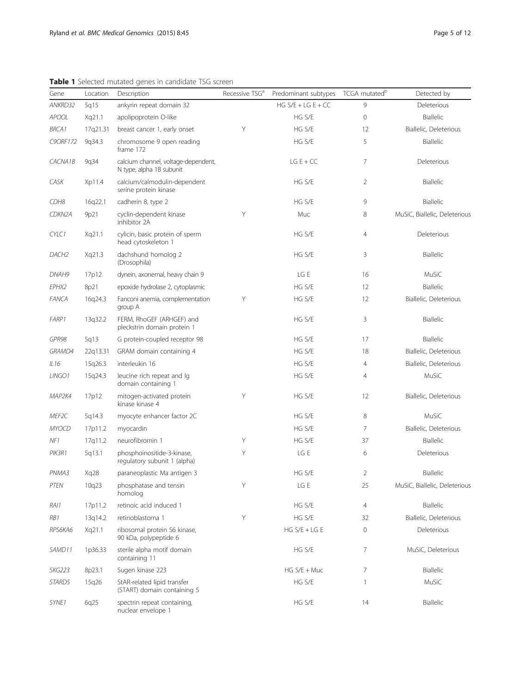| Gene          | Location | Description                                                     | Recessive TSG <sup>a</sup> | Predominant subtypes | TCGA mutated <sup>b</sup> | Detected by                   |
|---------------|----------|-----------------------------------------------------------------|----------------------------|----------------------|---------------------------|-------------------------------|
| ANKRD32       | 5q15     | ankyrin repeat domain 32                                        |                            | HG $S/E + LG E + CC$ | 9                         | Deleterious                   |
| <b>APOOL</b>  | Xq21.1   | apolipoprotein O-like                                           |                            | HG S/E               | 0                         | Biallelic                     |
| <b>BRCA1</b>  | 17q21.31 | breast cancer 1, early onset                                    | Υ                          | HG S/E               | 12                        | Biallelic, Deleterious        |
| C9ORF172      | 9q34.3   | chromosome 9 open reading<br>frame 172                          |                            | HG S/E               | 5                         | Biallelic                     |
| CACNA1B       | 9q34     | calcium channel, voltage-dependent,<br>N type, alpha 1B subunit |                            | $LG E + CC$          | 7                         | Deleterious                   |
| CASK          | Xp11.4   | calcium/calmodulin-dependent<br>serine protein kinase           |                            | HG S/E               | 2                         | Biallelic                     |
| CDH8          | 16q22.1  | cadherin 8, type 2                                              |                            | HG S/E               | 9                         | Biallelic                     |
| CDKN2A        | 9p21     | cyclin-dependent kinase<br>inhibitor 2A                         | Υ                          | Muc                  | 8                         | MuSiC, Biallelic, Deleterious |
| CYLC1         | Xq21.1   | cylicin, basic protein of sperm<br>head cytoskeleton 1          |                            | HG S/E               | 4                         | Deleterious                   |
| DACH2         | Xq21.3   | dachshund homolog 2<br>(Drosophila)                             |                            | HG S/E               | 3                         | Biallelic                     |
| DNAH9         | 17p12    | dynein, axonemal, heavy chain 9                                 |                            | LG E                 | 16                        | MuSiC                         |
| EPHX2         | 8p21     | epoxide hydrolase 2, cytoplasmic                                |                            | HG S/E               | 12                        | Biallelic                     |
| <b>FANCA</b>  | 16q24.3  | Fanconi anemia, complementation<br>group A                      | Y                          | HG S/E               | 12                        | Biallelic, Deleterious        |
| FARP1         | 13q32.2  | FERM, RhoGEF (ARHGEF) and<br>pleckstrin domain protein 1        |                            | HG S/E               | 3                         | Biallelic                     |
| GPR98         | 5q13     | G protein-coupled receptor 98                                   |                            | HG S/E               | 17                        | Biallelic                     |
| GRAMD4        | 22q13.31 | GRAM domain containing 4                                        |                            | HG S/E               | 18                        | Biallelic, Deleterious        |
| IL16          | 15q26.3  | interleukin 16                                                  |                            | HG S/E               | 4                         | Biallelic, Deleterious        |
| LINGO1        | 15q24.3  | leucine rich repeat and Iq<br>domain containing 1               |                            | HG S/E               | 4                         | MuSiC                         |
| MAP2K4        | 17p12    | mitogen-activated protein<br>kinase kinase 4                    | Y                          | HG S/E               | 12                        | Biallelic, Deleterious        |
| MEF2C         | 5q14.3   | myocyte enhancer factor 2C                                      |                            | HG S/E               | 8                         | MuSiC                         |
| <b>MYOCD</b>  | 17p11.2  | myocardin                                                       |                            | HG S/E               | 7                         | Biallelic, Deleterious        |
| NF1           | 17q11.2  | neurofibromin 1                                                 | Y                          | HG S/E               | 37                        | Biallelic                     |
| PIK3R1        | 5q13.1   | phosphoinositide-3-kinase,<br>regulatory subunit 1 (alpha)      | Υ                          | LG E                 | 6                         | Deleterious                   |
| PNMA3         | Xq28     | paraneoplastic Ma antigen 3                                     |                            | HG S/E               | 2                         | Biallelic                     |
| PTEN          | 10q23    | phosphatase and tensin<br>homolog                               | Y                          | LG E                 | 25                        | MuSiC, Biallelic, Deleterious |
| RAI1          | 17p11.2  | retinoic acid induced 1                                         |                            | HG S/E               | 4                         | Biallelic                     |
| RB1           | 13q14.2  | retinoblastoma 1                                                | Υ                          | HG S/E               | 32                        | Biallelic, Deleterious        |
| RPS6KA6       | Xq21.1   | ribosomal protein S6 kinase,<br>90 kDa, polypeptide 6           |                            | $HG S/E + LG E$      | 0                         | Deleterious                   |
| SAMD11        | 1p36.33  | sterile alpha motif domain<br>containing 11                     |                            | HG S/E               | 7                         | MuSiC, Deleterious            |
| SKG223        | 8p23.1   | Sugen kinase 223                                                |                            | $HG S/E + Muc$       | 7                         | Biallelic                     |
| <i>STARD5</i> | 15q26    | StAR-related lipid transfer<br>(START) domain containing 5      |                            | HG S/E               | 1                         | MuSiC                         |
| SYNE1         | 6q25     | spectrin repeat containing,<br>nuclear envelope 1               |                            | HG S/E               | 14                        | Biallelic                     |

<span id="page-4-0"></span>Table 1 Selected mutated genes in candidate TSG screen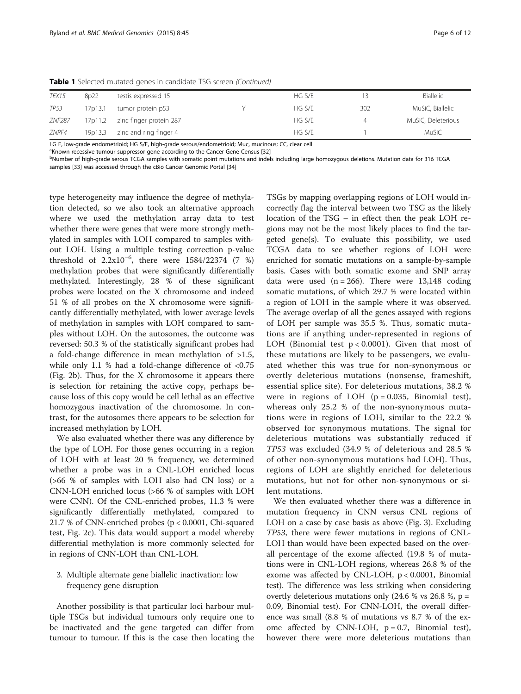| <b>TEX15</b>  | 8p22    | testis expressed 15     | HG S/E | 13  | Biallelic          |
|---------------|---------|-------------------------|--------|-----|--------------------|
| TP53          | 17p13.1 | tumor protein p53       | HG S/E | 302 | MuSiC, Biallelic   |
| <b>ZNF287</b> | 17p11.2 | zinc finger protein 287 | HG S/E | 4   | MuSiC, Deleterious |
| ZNRF4         | 19p13.3 | zinc and ring finger 4  | HG S/F |     | MuSiC              |

Table 1 Selected mutated genes in candidate TSG screen (Continued)

LG E, low-grade endometrioid; HG S/E, high-grade serous/endometrioid; Muc, mucinous; CC, clear cell

<sup>a</sup> Known recessive tumour suppressor gene according to the Cancer Gene Census [[32\]](#page-11-0)<br><sup>b</sup>Number of bigh grade serous TCCA samples with somatic point mutations and indel

<sup>b</sup>Number of high-grade serous TCGA samples with somatic point mutations and indels including large homozygous deletions. Mutation data for 316 TCGA samples [[33\]](#page-11-0) was accessed through the cBio Cancer Genomic Portal [\[34](#page-11-0)]

type heterogeneity may influence the degree of methylation detected, so we also took an alternative approach where we used the methylation array data to test whether there were genes that were more strongly methylated in samples with LOH compared to samples without LOH. Using a multiple testing correction p-value threshold of 2.2x10−<sup>6</sup> , there were 1584/22374 (7 %) methylation probes that were significantly differentially methylated. Interestingly, 28 % of these significant probes were located on the X chromosome and indeed 51 % of all probes on the X chromosome were significantly differentially methylated, with lower average levels of methylation in samples with LOH compared to samples without LOH. On the autosomes, the outcome was reversed: 50.3 % of the statistically significant probes had a fold-change difference in mean methylation of >1.5, while only 1.1 % had a fold-change difference of <0.75 (Fig. [2b](#page-7-0)). Thus, for the X chromosome it appears there is selection for retaining the active copy, perhaps because loss of this copy would be cell lethal as an effective homozygous inactivation of the chromosome. In contrast, for the autosomes there appears to be selection for increased methylation by LOH.

We also evaluated whether there was any difference by the type of LOH. For those genes occurring in a region of LOH with at least 20 % frequency, we determined whether a probe was in a CNL-LOH enriched locus (>66 % of samples with LOH also had CN loss) or a CNN-LOH enriched locus (>66 % of samples with LOH were CNN). Of the CNL-enriched probes, 11.3 % were significantly differentially methylated, compared to 21.7 % of CNN-enriched probes (p < 0.0001, Chi-squared test, Fig. [2c](#page-7-0)). This data would support a model whereby differential methylation is more commonly selected for in regions of CNN-LOH than CNL-LOH.

# 3. Multiple alternate gene biallelic inactivation: low frequency gene disruption

Another possibility is that particular loci harbour multiple TSGs but individual tumours only require one to be inactivated and the gene targeted can differ from tumour to tumour. If this is the case then locating the

TSGs by mapping overlapping regions of LOH would incorrectly flag the interval between two TSG as the likely location of the TSG – in effect then the peak LOH regions may not be the most likely places to find the targeted gene(s). To evaluate this possibility, we used TCGA data to see whether regions of LOH were enriched for somatic mutations on a sample-by-sample basis. Cases with both somatic exome and SNP array data were used  $(n = 266)$ . There were 13,148 coding somatic mutations, of which 29.7 % were located within a region of LOH in the sample where it was observed. The average overlap of all the genes assayed with regions of LOH per sample was 35.5 %. Thus, somatic mutations are if anything under-represented in regions of LOH (Binomial test p < 0.0001). Given that most of these mutations are likely to be passengers, we evaluated whether this was true for non-synonymous or overtly deleterious mutations (nonsense, frameshift, essential splice site). For deleterious mutations, 38.2 % were in regions of LOH ( $p = 0.035$ , Binomial test), whereas only 25.2 % of the non-synonymous mutations were in regions of LOH, similar to the 22.2 % observed for synonymous mutations. The signal for deleterious mutations was substantially reduced if TP53 was excluded (34.9 % of deleterious and 28.5 % of other non-synonymous mutations had LOH). Thus, regions of LOH are slightly enriched for deleterious mutations, but not for other non-synonymous or silent mutations.

We then evaluated whether there was a difference in mutation frequency in CNN versus CNL regions of LOH on a case by case basis as above (Fig. [3\)](#page-7-0). Excluding TP53, there were fewer mutations in regions of CNL-LOH than would have been expected based on the overall percentage of the exome affected (19.8 % of mutations were in CNL-LOH regions, whereas 26.8 % of the exome was affected by CNL-LOH,  $p < 0.0001$ , Binomial test). The difference was less striking when considering overtly deleterious mutations only  $(24.6 %$  vs  $26.8 %$ , p = 0.09, Binomial test). For CNN-LOH, the overall difference was small (8.8 % of mutations vs 8.7 % of the exome affected by CNN-LOH,  $p = 0.7$ , Binomial test), however there were more deleterious mutations than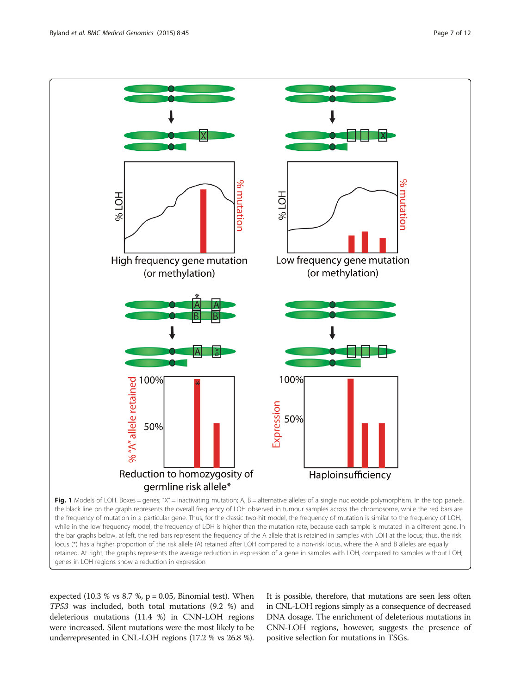<span id="page-6-0"></span>

genes in LOH regions show a reduction in expression

expected  $(10.3 %$  vs  $8.7 %$ ,  $p = 0.05$ , Binomial test). When TP53 was included, both total mutations (9.2 %) and deleterious mutations (11.4 %) in CNN-LOH regions were increased. Silent mutations were the most likely to be underrepresented in CNL-LOH regions (17.2 % vs 26.8 %).

It is possible, therefore, that mutations are seen less often in CNL-LOH regions simply as a consequence of decreased DNA dosage. The enrichment of deleterious mutations in CNN-LOH regions, however, suggests the presence of positive selection for mutations in TSGs.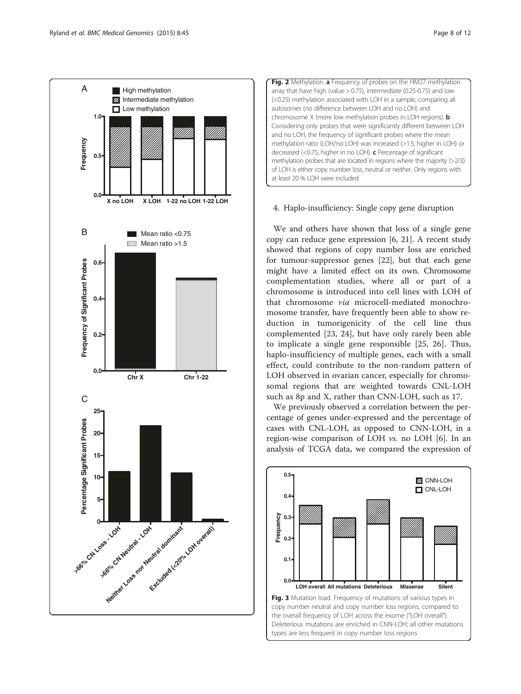<span id="page-7-0"></span>



# 4. Haplo-insufficiency: Single copy gene disruption

We and others have shown that loss of a single gene copy can reduce gene expression [\[6,](#page-10-0) [21](#page-11-0)]. A recent study showed that regions of copy number loss are enriched for tumour-suppressor genes [[22\]](#page-11-0), but that each gene might have a limited effect on its own. Chromosome complementation studies, where all or part of a chromosome is introduced into cell lines with LOH of that chromosome via microcell-mediated monochromosome transfer, have frequently been able to show reduction in tumorigenicity of the cell line thus complemented [\[23, 24\]](#page-11-0), but have only rarely been able to implicate a single gene responsible [[25, 26\]](#page-11-0). Thus, haplo-insufficiency of multiple genes, each with a small effect, could contribute to the non-random pattern of LOH observed in ovarian cancer, especially for chromosomal regions that are weighted towards CNL-LOH such as 8p and X, rather than CNN-LOH, such as 17.

We previously observed a correlation between the percentage of genes under-expressed and the percentage of cases with CNL-LOH, as opposed to CNN-LOH, in a region-wise comparison of LOH vs. no LOH [[6\]](#page-10-0). In an analysis of TCGA data, we compared the expression of

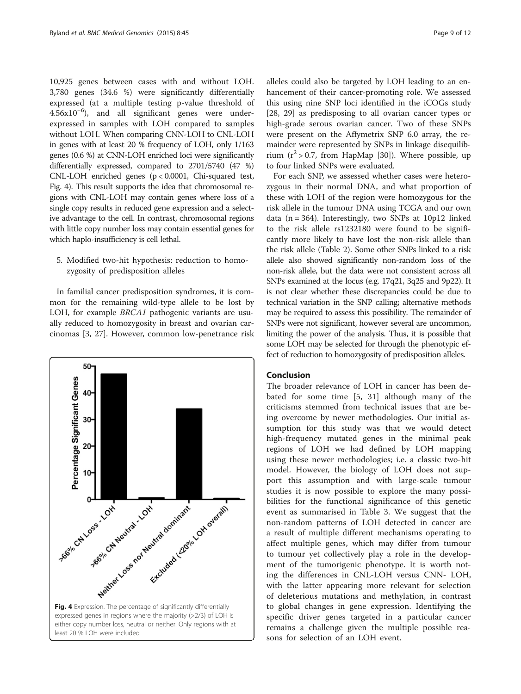10,925 genes between cases with and without LOH. 3,780 genes (34.6 %) were significantly differentially expressed (at a multiple testing p-value threshold of 4.56x10−<sup>6</sup> ), and all significant genes were underexpressed in samples with LOH compared to samples without LOH. When comparing CNN-LOH to CNL-LOH in genes with at least 20 % frequency of LOH, only 1/163 genes (0.6 %) at CNN-LOH enriched loci were significantly differentially expressed, compared to 2701/5740 (47 %) CNL-LOH enriched genes (p < 0.0001, Chi-squared test, Fig. 4). This result supports the idea that chromosomal regions with CNL-LOH may contain genes where loss of a single copy results in reduced gene expression and a selective advantage to the cell. In contrast, chromosomal regions with little copy number loss may contain essential genes for which haplo-insufficiency is cell lethal.

5. Modified two-hit hypothesis: reduction to homozygosity of predisposition alleles

In familial cancer predisposition syndromes, it is common for the remaining wild-type allele to be lost by LOH, for example *BRCA1* pathogenic variants are usually reduced to homozygosity in breast and ovarian carcinomas [[3](#page-10-0), [27](#page-11-0)]. However, common low-penetrance risk



alleles could also be targeted by LOH leading to an enhancement of their cancer-promoting role. We assessed this using nine SNP loci identified in the iCOGs study [[28, 29](#page-11-0)] as predisposing to all ovarian cancer types or high-grade serous ovarian cancer. Two of these SNPs were present on the Affymetrix SNP 6.0 array, the remainder were represented by SNPs in linkage disequilibrium  $(r^2 > 0.7$ , from HapMap [\[30](#page-11-0)]). Where possible, up to four linked SNPs were evaluated.

For each SNP, we assessed whether cases were heterozygous in their normal DNA, and what proportion of these with LOH of the region were homozygous for the risk allele in the tumour DNA using TCGA and our own data ( $n = 364$ ). Interestingly, two SNPs at 10p12 linked to the risk allele rs1232180 were found to be significantly more likely to have lost the non-risk allele than the risk allele (Table [2](#page-9-0)). Some other SNPs linked to a risk allele also showed significantly non-random loss of the non-risk allele, but the data were not consistent across all SNPs examined at the locus (e.g. 17q21, 3q25 and 9p22). It is not clear whether these discrepancies could be due to technical variation in the SNP calling; alternative methods may be required to assess this possibility. The remainder of SNPs were not significant, however several are uncommon, limiting the power of the analysis. Thus, it is possible that some LOH may be selected for through the phenotypic effect of reduction to homozygosity of predisposition alleles.

# Conclusion

The broader relevance of LOH in cancer has been debated for some time [\[5](#page-10-0), [31\]](#page-11-0) although many of the criticisms stemmed from technical issues that are being overcome by newer methodologies. Our initial assumption for this study was that we would detect high-frequency mutated genes in the minimal peak regions of LOH we had defined by LOH mapping using these newer methodologies; i.e. a classic two-hit model. However, the biology of LOH does not support this assumption and with large-scale tumour studies it is now possible to explore the many possibilities for the functional significance of this genetic event as summarised in Table [3](#page-9-0). We suggest that the non-random patterns of LOH detected in cancer are a result of multiple different mechanisms operating to affect multiple genes, which may differ from tumour to tumour yet collectively play a role in the development of the tumorigenic phenotype. It is worth noting the differences in CNL-LOH versus CNN- LOH, with the latter appearing more relevant for selection of deleterious mutations and methylation, in contrast to global changes in gene expression. Identifying the specific driver genes targeted in a particular cancer remains a challenge given the multiple possible reasons for selection of an LOH event.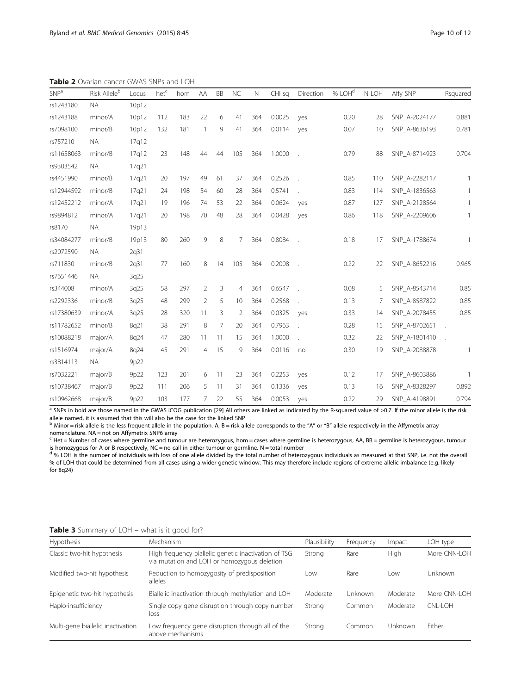<span id="page-9-0"></span>Table 2 Ovarian cancer GWAS SNPs and LOH

| SNP <sup>a</sup> | Risk Alleleb | Locus | hetc | hom | AA             | BB | <b>NC</b>       | $\mathbb N$ | CHI sq | Direction      | % LOH <sup>d</sup> | N LOH | Affy SNP      | Rsquared     |
|------------------|--------------|-------|------|-----|----------------|----|-----------------|-------------|--------|----------------|--------------------|-------|---------------|--------------|
| rs1243180        | <b>NA</b>    | 10p12 |      |     |                |    |                 |             |        |                |                    |       |               |              |
| rs1243188        | minor/A      | 10p12 | 112  | 183 | 22             | 6  | 41              | 364         | 0.0025 | yes            | 0.20               | 28    | SNP_A-2024177 | 0.881        |
| rs7098100        | minor/B      | 10p12 | 132  | 181 | $\overline{1}$ | 9  | 41              | 364         | 0.0114 | yes            | 0.07               | 10    | SNP_A-8636193 | 0.781        |
| rs757210         | <b>NA</b>    | 17g12 |      |     |                |    |                 |             |        |                |                    |       |               |              |
| rs11658063       | minor/B      | 17q12 | 23   | 148 | 44             | 44 | 105             | 364         | 1.0000 |                | 0.79               | 88    | SNP A-8714923 | 0.704        |
| rs9303542        | <b>NA</b>    | 17q21 |      |     |                |    |                 |             |        |                |                    |       |               |              |
| rs4451990        | minor/B      | 17q21 | 20   | 197 | 49             | 61 | 37              | 364         | 0.2526 | i,             | 0.85               | 110   | SNP A-2282117 | 1            |
| rs12944592       | minor/B      | 17q21 | 24   | 198 | 54             | 60 | 28              | 364         | 0.5741 |                | 0.83               | 114   | SNP_A-1836563 | $\mathbf{1}$ |
| rs12452212       | minor/A      | 17q21 | 19   | 196 | 74             | 53 | 22              | 364         | 0.0624 | yes            | 0.87               | 127   | SNP_A-2128564 | $\mathbf{1}$ |
| rs9894812        | minor/A      | 17q21 | 20   | 198 | 70             | 48 | 28              | 364         | 0.0428 | yes            | 0.86               | 118   | SNP_A-2209606 | 1            |
| rs8170           | <b>NA</b>    | 19p13 |      |     |                |    |                 |             |        |                |                    |       |               |              |
| rs34084277       | minor/B      | 19p13 | 80   | 260 | 9              | 8  | $7\overline{ }$ | 364         | 0.8084 |                | 0.18               | 17    | SNP_A-1788674 | 1            |
| rs2072590        | <b>NA</b>    | 2q31  |      |     |                |    |                 |             |        |                |                    |       |               |              |
| rs711830         | minor/B      | 2q31  | 77   | 160 | 8              | 14 | 105             | 364         | 0.2008 |                | 0.22               | 22    | SNP_A-8652216 | 0.965        |
| rs7651446        | <b>NA</b>    | 3q25  |      |     |                |    |                 |             |        |                |                    |       |               |              |
| rs344008         | minor/A      | 3q25  | 58   | 297 | 2              | 3  | $\overline{4}$  | 364         | 0.6547 |                | 0.08               | 5     | SNP_A-8543714 | 0.85         |
| rs2292336        | minor/B      | 3q25  | 48   | 299 | 2              | 5  | 10              | 364         | 0.2568 |                | 0.13               | 7     | SNP_A-8587822 | 0.85         |
| rs17380639       | minor/A      | 3q25  | 28   | 320 | 11             | 3  | $\overline{2}$  | 364         | 0.0325 | yes            | 0.33               | 14    | SNP A-2078455 | 0.85         |
| rs11782652       | minor/B      | 8q21  | 38   | 291 | 8              | 7  | 20              | 364         | 0.7963 | $\overline{a}$ | 0.28               | 15    | SNP A-8702651 |              |
| rs10088218       | major/A      | 8q24  | 47   | 280 | 11             | 11 | 15              | 364         | 1.0000 |                | 0.32               | 22    | SNP A-1801410 |              |
| rs1516974        | major/A      | 8q24  | 45   | 291 | $\overline{4}$ | 15 | 9               | 364         | 0.0116 | no             | 0.30               | 19    | SNP_A-2088878 | $\mathbf{1}$ |
| rs3814113        | NA.          | 9p22  |      |     |                |    |                 |             |        |                |                    |       |               |              |
| rs7032221        | major/B      | 9p22  | 123  | 201 | 6              | 11 | 23              | 364         | 0.2253 | yes            | 0.12               | 17    | SNP_A-8603886 | $\mathbf{1}$ |
| rs10738467       | major/B      | 9p22  | 111  | 206 | 5              | 11 | 31              | 364         | 0.1336 | yes            | 0.13               | 16    | SNP_A-8328297 | 0.892        |
| rs10962668       | major/B      | 9p22  | 103  | 177 | 7              | 22 | 55              | 364         | 0.0053 | yes            | 0.22               | 29    | SNP A-4198891 | 0.794        |

a SNPs in bold are those named in the GWAS iCOG publication [[29\]](#page-11-0) All others are linked as indicated by the R-squared value of >0.7. If the minor allele is the risk

allele named, it is assumed that this will also be the case for the linked SNP<br><sup>b</sup> Minor = risk allele is the less frequent allele in the population. A, B = risk allele corresponds to the "A" or "B" allele respectively in

nomenclature. NA = not on Affymetrix SNP6 array<br><sup>c</sup> Het = Number of cases where germline and tumour are heterozygous, hom = cases where germline is heterozygous meterozygous, tumour is homozygous for A or B respectively, NC = no call in either tumour or germline. N = total number

<sup>d</sup> % LOH is the number of individuals with loss of one allele divided by the total number of heterozygous individuals as measured at that SNP, i.e. not the overall % of LOH that could be determined from all cases using a wider genetic window. This may therefore include regions of extreme allelic imbalance (e.g. likely for 8q24)

Table 3 Summary of LOH – what is it good for?

| <b>Hypothesis</b>                 | Mechanism                                                                                           | Plausibility | Frequency | Impact   | LOH type     |
|-----------------------------------|-----------------------------------------------------------------------------------------------------|--------------|-----------|----------|--------------|
| Classic two-hit hypothesis        | High frequency biallelic genetic inactivation of TSG<br>via mutation and LOH or homozygous deletion | Strong       | Rare      | High     | More CNN-LOH |
| Modified two-hit hypothesis       | Reduction to homozygosity of predisposition<br>alleles                                              | Low          | Rare      | Low      | Unknown      |
| Epigenetic two-hit hypothesis     | Biallelic inactivation through methylation and LOH                                                  | Moderate     | Unknown   | Moderate | More CNN-LOH |
| Haplo-insufficiency               | Single copy gene disruption through copy number<br>loss                                             | Strong       | Common    | Moderate | CNI-LOH      |
| Multi-gene biallelic inactivation | Low frequency gene disruption through all of the<br>above mechanisms                                | Strong       | Common    | Unknown  | Fither       |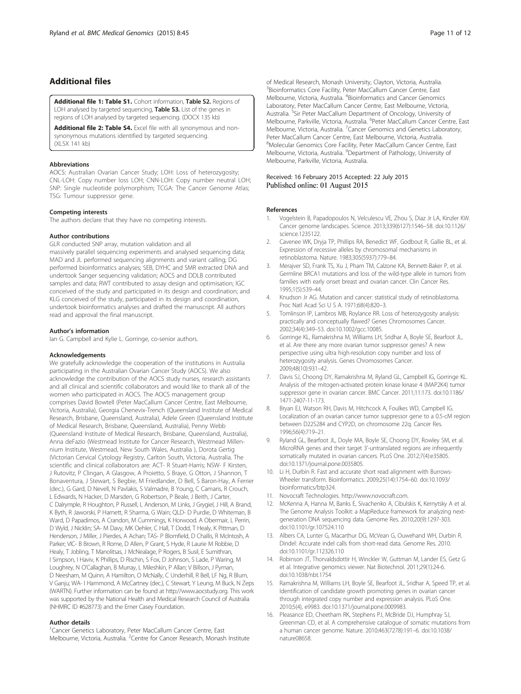# <span id="page-10-0"></span>Additional files

[Additional file 1: Table S1.](http://www.biomedcentral.com/content/supplementary/s12920-015-0123-z-s1.docx) Cohort information, Table S2. Regions of LOH analysed by targeted sequencing, Table S3. List of the genes in regions of LOH analysed by targeted sequencing. (DOCX 135 kb)

[Additional file 2: Table S4.](http://www.biomedcentral.com/content/supplementary/s12920-015-0123-z-s2.xlsx) Excel file with all synonymous and nonsynonymous mutations identified by targeted sequencing. (XLSX 141 kb)

#### Abbreviations

AOCS: Australian Ovarian Cancer Study; LOH: Loss of heterozygosity; CNL-LOH: Copy number loss LOH; CNN-LOH: Copy number neutral LOH; SNP: Single nucleotide polymorphism; TCGA: The Cancer Genome Atlas; TSG: Tumour suppressor gene.

#### Competing interests

The authors declare that they have no competing interests.

#### Author contributions

GLR conducted SNP array, mutation validation and all massively parallel sequencing experiments and analysed sequencing data; MAD and JL performed sequencing alignments and variant calling; DG performed bioinformatics analyses; SEB, DYHC and SMR extracted DNA and undertook Sanger sequencing validation; AOCS and DDLB contributed samples and data; RWT contributed to assay design and optimisation; IGC conceived of the study and participated in its design and coordination; and KLG conceived of the study, participated in its design and coordination, undertook bioinformatics analyses and drafted the manuscript. All authors read and approval the final manuscript.

#### Author's information

Ian G. Campbell and Kylie L. Gorringe, co-senior authors.

#### Acknowledgements

We gratefully acknowledge the cooperation of the institutions in Australia participating in the Australian Ovarian Cancer Study (AOCS). We also acknowledge the contribution of the AOCS study nurses, research assistants and all clinical and scientific collaborators and would like to thank all of the women who participated in AOCS. The AOCS management group comprises David Bowtell (Peter MacCallum Cancer Centre, East Melbourne, Victoria, Australia), Georgia Chenevix-Trench (Queensland Institute of Medical Research, Brisbane, Queensland, Australia), Adele Green (Queensland Institute of Medical Research, Brisbane, Queensland, Australia), Penny Webb (Queensland Institute of Medical Research, Brisbane, Queensland, Australia), Anna deFazio (Westmead lnstitute for Cancer Research, Westmead Millennium Institute, Westmead, New South Wales, Australia ), Dorota Gertig (Victorian Cervical Cytology Registry, Carlton South, Victoria, Australia. The scientific and clinical collaborators are: ACT- R Stuart-Harris; NSW- F Kirsten, J Rutovitz, P Clingan, A Glasgow, A Proietto, S Braye, G Otton, J Shannon, T Bonaventura, J Stewart, S Begbie, M Friedlander, D Bell, S Baron-Hay, A Ferrier (dec.), G Gard, D Nevell, N Pavlakis, S Valmadre, B Young, C Camaris, R Crouch, L Edwards, N Hacker, D Marsden, G Robertson, P Beale, J Beith, J Carter, C Dalrymple, R Houghton, P Russell, L Anderson, M Links, J Grygiel, J Hill, A Brand, K Byth, R Jaworski, P Harnett, R Sharma, G Wain; QLD- D Purdie, D Whiteman, B Ward, D Papadimos, A Crandon, M Cummings, K Horwood. A Obermair, L Perrin, D Wyld, J Nicklin; SA- M Davy, MK Oehler, C Hall, T Dodd, T Healy, K Pittman, D Henderson, J Miller, J Pierdes, A Achan; TAS- P Blomfield, D Challis, R McIntosh, A Parker; VIC- B Brown, R Rome, D Allen, P Grant, S Hyde, R Laurie M Robbie, D Healy, T Jobling, T Manolitsas, J McNealage, P Rogers, B Susil, E Sumithran, I Simpson, I Haviv, K Phillips, D Rischin, S Fox, D Johnson, S Lade, P Waring, M Loughrey, N O'Callaghan, B Murray, L Mileshkin, P Allan; V Billson, J Pyman, D Neesham, M Quinn, A Hamilton, O McNally, C Underhill, R Bell, LF Ng, R Blum, V Ganju; WA- I Hammond, A McCartney (dec.), C Stewart, Y Leung, M Buck, N Zeps (WARTN). Further information can be found at<http://www.aocstudy.org>. This work was supported by the National Health and Medical Research Council of Australia (NHMRC ID #628773) and the Emer Casey Foundation.

#### Author details

<sup>1</sup> Cancer Genetics Laboratory, Peter MacCallum Cancer Centre, East Melbourne, Victoria, Australia. <sup>2</sup> Centre for Cancer Research, Monash Institute of Medical Research, Monash University, Clayton, Victoria, Australia. <sup>3</sup> Bioinformatics Core Facility, Peter MacCallum Cancer Centre, East Melbourne, Victoria, Australia. <sup>4</sup> Bioinformatics and Cancer Genomics Laboratory, Peter MacCallum Cancer Centre, East Melbourne, Victoria, Australia. <sup>5</sup>Sir Peter MacCallum Department of Oncology, University of Melbourne, Parkville, Victoria, Australia. <sup>6</sup>Peter MacCallum Cancer Centre, East Melbourne, Victoria, Australia. <sup>7</sup> Cancer Genomics and Genetics Laboratory, Peter MacCallum Cancer Centre, East Melbourne, Victoria, Australia. <sup>8</sup>Molecular Genomics Core Facility, Peter MacCallum Cancer Centre, East Melbourne, Victoria, Australia. <sup>9</sup>Department of Pathology, University of Melbourne, Parkville, Victoria, Australia.

## Received: 16 February 2015 Accepted: 22 July 2015 Published online: 01 August 2015

#### References

- 1. Vogelstein B, Papadopoulos N, Velculescu VE, Zhou S, Diaz Jr LA, Kinzler KW. Cancer genome landscapes. Science. 2013;339(6127):1546–58. doi[:10.1126/](http://dx.doi.org/10.1126/science.1235122) [science.1235122.](http://dx.doi.org/10.1126/science.1235122)
- 2. Cavenee WK, Dryja TP, Phillips RA, Benedict WF, Godbout R, Gallie BL, et al. Expression of recessive alleles by chromosomal mechanisms in retinoblastoma. Nature. 1983;305(5937):779–84.
- 3. Merajver SD, Frank TS, Xu J, Pham TM, Calzone KA, Bennett-Baker P, et al. Germline BRCA1 mutations and loss of the wild-type allele in tumors from families with early onset breast and ovarian cancer. Clin Cancer Res. 1995;1(5):539–44.
- 4. Knudson Jr AG. Mutation and cancer: statistical study of retinoblastoma. Proc Natl Acad Sci U S A. 1971;68(4):820–3.
- 5. Tomlinson IP, Lambros MB, Roylance RR. Loss of heterozygosity analysis: practically and conceptually flawed? Genes Chromosomes Cancer. 2002;34(4):349–53. doi:[10.1002/gcc.10085](http://dx.doi.org/10.1002/gcc.10085).
- 6. Gorringe KL, Ramakrishna M, Williams LH, Sridhar A, Boyle SE, Bearfoot JL, et al. Are there any more ovarian tumor suppressor genes? A new perspective using ultra high-resolution copy number and loss of heterozygosity analysis. Genes Chromosomes Cancer. 2009;48(10):931–42.
- 7. Davis SJ, Choong DY, Ramakrishna M, Ryland GL, Campbell IG, Gorringe KL. Analysis of the mitogen-activated protein kinase kinase 4 (MAP2K4) tumor suppressor gene in ovarian cancer. BMC Cancer. 2011;11:173. doi[:10.1186/](http://dx.doi.org/10.1186/1471-2407-11-173) [1471-2407-11-173](http://dx.doi.org/10.1186/1471-2407-11-173).
- 8. Bryan EJ, Watson RH, Davis M, Hitchcock A, Foulkes WD, Campbell IG. Localization of an ovarian cancer tumor suppressor gene to a 0.5-cM region between D22S284 and CYP2D, on chromosome 22q. Cancer Res. 1996;56(4):719–21.
- 9. Ryland GL, Bearfoot JL, Doyle MA, Boyle SE, Choong DY, Rowley SM, et al. MicroRNA genes and their target 3'-untranslated regions are infrequently somatically mutated in ovarian cancers. PLoS One. 2012;7(4):e35805. doi[:10.1371/journal.pone.0035805.](http://dx.doi.org/10.1371/journal.pone.0035805)
- 10. Li H, Durbin R. Fast and accurate short read alignment with Burrows-Wheeler transform. Bioinformatics. 2009;25(14):1754–60. doi[:10.1093/](http://dx.doi.org/10.1093/bioinformatics/btp324) [bioinformatics/btp324.](http://dx.doi.org/10.1093/bioinformatics/btp324)
- 11. Novocraft Technologies. [http://www.novocraft.com.](http://www.novocraft.com)
- 12. McKenna A, Hanna M, Banks E, Sivachenko A, Cibulskis K, Kernytsky A et al. The Genome Analysis Toolkit: a MapReduce framework for analyzing nextgeneration DNA sequencing data. Genome Res. 2010;20(9):1297-303. doi[:10.1101/gr.107524.110](http://dx.doi.org/10.1101/gr.107524.110)
- 13. Albers CA, Lunter G, Macarthur DG, McVean G, Ouwehand WH, Durbin R. Dindel: Accurate indel calls from short-read data. Genome Res. 2010. doi[:10.1101/gr.112326.110](http://dx.doi.org/10.1101/gr.112326.110)
- 14. Robinson JT, Thorvaldsdottir H, Winckler W, Guttman M, Lander ES, Getz G et al. Integrative genomics viewer. Nat Biotechnol. 2011;29(1):24-6. doi[:10.1038/nbt.1754](http://dx.doi.org/10.1038/nbt.1754)
- 15. Ramakrishna M, Williams LH, Boyle SE, Bearfoot JL, Sridhar A, Speed TP, et al. Identification of candidate growth promoting genes in ovarian cancer through integrated copy number and expression analysis. PLoS One. 2010;5(4), e9983. doi[:10.1371/journal.pone.0009983.](http://dx.doi.org/10.1371/journal.pone.0009983)
- 16. Pleasance ED, Cheetham RK, Stephens PJ, McBride DJ, Humphray SJ, Greenman CD, et al. A comprehensive catalogue of somatic mutations from a human cancer genome. Nature. 2010;463(7278):191–6. doi[:10.1038/](http://dx.doi.org/10.1038/nature08658) [nature08658](http://dx.doi.org/10.1038/nature08658).